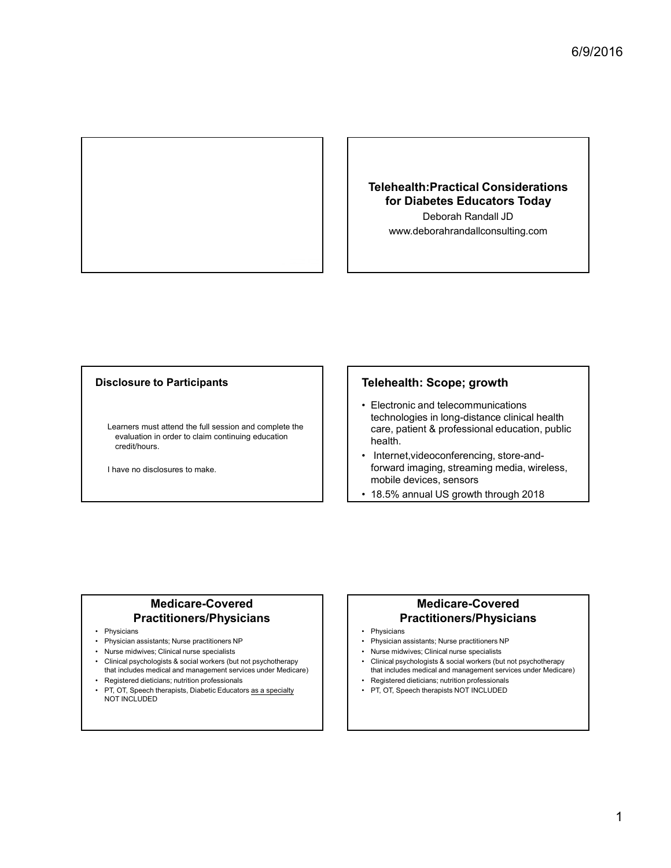

#### Telehealth:Practical Considerations for Diabetes Educators Today Deborah Randall JD

www.deborahrandallconsulting.com

#### Disclosure to Participants

Learners must attend the full session and complete the evaluation in order to claim continuing education credit/hours. Disclosure to Participants<br>
Learners must attend the full session and complete the<br>
evaluation in order to claim continuing education<br>
readition is controlled to the care, patient & profession and<br>
readition is controlled Disclosure to Participants<br>
Learners must attend the full session and complete the<br>
care, patient & profession<br>
ceral, athen continued because to make.<br>
Thave no disclosures to make.<br>
The metric Videcoconference<br>
The m **Disclosure to Participants**<br>
Learners must attend the full session and complete the<br>
evaluation in order to claim continuing education<br>
evaluation in order to claim continuing education<br>
<br>
The method order and Reporter t **Disclosure to Participants**<br>
Learnes must attend the full session and complete the<br>
evaluation in ordinary education<br>
eract, patient & profession and complete the<br>
credit/hours.<br>
The credit/hours.<br>
The credit worker in t <table>\n<tbody>\n<tr>\n<th>Leaments must attend the full session and complete the<br/>evaluation in order to claim containing education<br/>credit hours.</th>\n</tr>\n<tr>\n<td>1 have no disclosures to make.</td>\n<td>12.5% annual US gro<br/>the othlor and images, sends<br/>the othlor and images, sends<br/>the othlor and images, sends<br/>the othlor and images, sends<br/>the othlor and images, sends<br/>the othlor and images, sends<br/>the othlor and images, sends<br/>the othlor and images, sends<br/>the othlor and images, and understand a social<br/>the nonlolor and images, not<br/>the nonlolor and images, not<br/>the nonlolor and images, and words, with a local<br/>the nonlolor and classes, not<br/>the nonlolor and classes, not Frontier and the full session and complete the<br>
etach cologies in long-<br>
evaluation in order to claim continuing education<br>
readity.<br>
The readity of the core of toward imaging, ster<br>
there is a specialty<br>
order to conte

I have no disclosures to make.

#### Telehealth: Scope; growth

- Telehealth:Practical Considerations<br>
for Diabetes Educators Today<br>
Deborah Randall JD<br>
www.deborahrandallconsulting.com<br>
Telehealth: Scope; growth<br>
Telehealth: Scope; growth<br>
+ Electronic and telecommunications<br>
technologi technologies in long-distance clinical health care, patient & professional education, public health. Telehealth:Practical Considerations<br>
for Diabetes Educators Today<br>
Deborah Randall JD<br>
www.deborahrandallconsulting.com<br>
Telehealth: Scope; growth<br>
Felctronic and telecommunications<br>
technologies in long-distance clinical Deborah Randall JD<br>
www.deborahrandallconsulting.com<br>
• Electronic and telecommunications<br>
• technologies in long-distance clinical health<br>
care, patient & professional education, public<br>
health.<br>
• Internet,videoconferenc **Telehealth: Scope; growth**<br>
• Electronic and telecommunications<br>
technologies in long-distance clinical health<br>
care, patient & professional education, public<br>
health.<br>
• Internet,videoconferencing, store-and-<br>
frownar im **Telehealth: Scope; growth**<br>
• Electronic and telecommunications<br>
technologies in long-distance clinical health<br>
health.<br>
hearth, as professional education, public<br>
• Internet, videoconferencing, store-and-<br>
forward imagin **Telehealth: Scope; growth**<br>
• Electronic and telecommunications<br>
technologies in long-distance clinical health<br>
care, patient & professional education, public<br>
health.<br>
• Internet,videoconferencing, store-and-<br>
• from the **Telehealth: Scope; growth**<br>
• Electronic and telecommunications<br>
technologies in long-distance clinical health<br>
heath. 8 professional education, public<br> **•** Internet, videoconferencing, store-and-<br>
forward imaging, stream • Electronic and telecommunications<br>technologies in long-distance clinical health<br>care, patient & professional education, public<br>health.<br>• Internet, videoconferencing, store-and-<br>forward imaging, streaming media, wireless, • Electronic and telecommunications<br>technologies in long-distance clinical health<br>care, patient & professional education, public<br>health.<br>
• Internet, videoconferencing, store-and-<br>
forward imaging, streaming media, wireles
- forward imaging, streaming media, wireless, mobile devices, sensors
- 

#### Medicare-Covered Practitioners/Physicians

- 
- 
- 
- that includes medical and management services under Medicare)
- 
- PT, OT, Speech therapists, Diabetic Educators as a specialty<br>NOT INCLUDED

#### Medicare-Covered Practitioners/Physicians

- 
- 
- 
- that includes medical and management services under Medicare)
-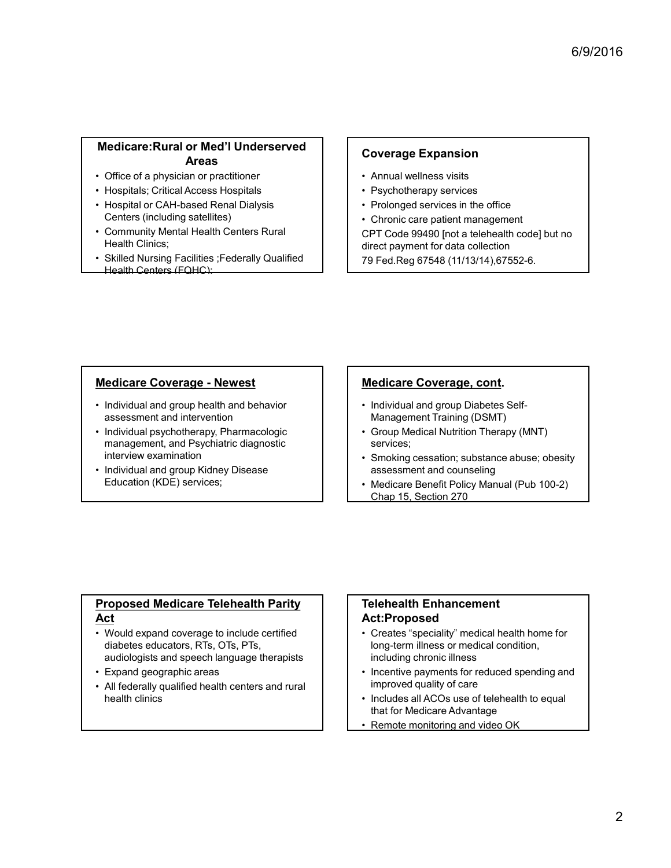# Medicare:Rural or Med'l Underserved Areas Medicare: Rural or Med'I Underserved<br>
Areas<br>
• Office of a physician or practitioner<br>
• Hospitals; Critical Access Hospitals<br>
• Hospital or CAH-based Renal Dialysis<br>
• Community Mental Health Centers Rural<br>
• Chronic care Medicare:Rural or Med'l Underserved<br>
Areas<br>
• Office of a physician or practitioner<br>
• Hospitals; Critical Access Hospitals<br>
• Hospitals or CAH-based Renal Dialysis<br>
• Conmunity Mental Health Centers Rural<br>
• Chronic care For Collection and Solid Coverage Expansion and Solid Coverage Expansion of The of a physician or practitioner<br>
• Hospitals Critical Access Hospitals<br>
• Hospitals or CAH-based Renal Dialysis<br>
• Community Mental Health C Medicare:Rural or Med'l Underserved<br>
• Office of a physician or practitioner<br>
• Hospitals; Critical Access Hospitals<br>
• Hospital or CAH-based Renal Dialysis<br>
• Community Mental Health Centers Rural<br>
• Community Mental Heal Medicare:Rural or Med'l Underserved<br>
• Coverage Expansi<br>
• Coverage Expansi<br>
• Hospitals, Critical Access Hospitals<br>
• Hospital or CAH-based Renal Dialysis<br>
• Centron: Carl-Based Renall Dialysis<br>
• Chronic care paint in Pr

- 
- 
- Centers (including satellites)
- Health Clinics;
- Health Centers (FQHC);

## Coverage Expansion

- 
- 
- 
- 

6/9/2016<br> **Coverage Expansion**<br>
• Annual wellness visits<br>
• Psychotherapy services<br>
• Prolonged services in the office<br>
• Chronic care patient management<br>CFT Code 99490 [not a telebrealth code] but no<br>
CFT Cover 99490 [not  $6/9/2016$ <br>
Coverage Expansion<br>
• Annual wellness visits<br>
• Psychotherapy services<br>
• Prolonged services in the office<br>
• Chronic care patient management<br>
CPT Code 99490 [not a telehealth code] but no<br>
direct payment for 6/9/2016<br>
Coverage Expansion<br>
• Annual wellness visits<br>
• Psychotherapy services<br>
• Prolonged services in the office<br>
• Chronic care patient management<br>
CPT Code 99490 [not a telehealth code] but no<br>
direct payment for dat **6/9/2016**<br> **• Annual wellness visits**<br>
• Psychotherapy services<br>
• Prolonged services in the office<br>
• Chronic care patient management<br> **CPT Code 99490** [not a telehealth code] but no<br>
direct payment for data collection<br> 6/9/2016<br>
Coverage Expansion<br>
Annual wellness visits<br>
Pychotherapy services<br>
Prolonged services in the office<br>
Chronic care patient management<br>
CPT Code 99490 [not a telehealth code] but no<br>
direct payment for data collect direct payment for data collection 6/9/2016<br>
Coverage Expansion<br>
Annual wellness visits<br>
Pychotherapy services<br>
Pychotherapy services<br>
Prolonged services in the office<br>
Chronic care patient management<br>
CPT Code 99490 [not a telehealth code] but no<br>
direct p Follow Contents and Marketing Services<br>
• Psychotherapy services<br>
• Prolonged services in the office<br>
• Chronic care patient management<br>
CPT Code 99490 [not a telehealth code] but no<br>
direct payment for data collection<br>
79 Coverage Expansion<br>
• Annual wellness visits<br>
• Psychotherapy services<br>
• Prolonged services in the office<br>
• Chronic care patient management<br>
cCPT Code 99490 [not a telehealth code] but no<br>
direct payment for data collect • Annual wellness visits<br>• Psychotherapy services<br>• Chonged services in the office<br>• Chronic care patient management<br>CPT Code 99490 [not a telehealth code] but no<br>direct payment for data collection<br>79 Fed.Reg 67548 (11/13/ • Prolonged services in the office<br>• Chronic care patient management<br>CPT Code 99490 [not a telehealth code] but no<br>direct payment for data collection<br>79 Fed.Reg 67548 (11/13/14),67552-6.<br>• Medicare Coverage, cont.<br>• Medica

- assessment and intervention
- Medicare Coverage Newest<br>
Medicare Coverage Newslinking Coverage Newest Areas<br>
Mesophial or CAH-based Renal Dialysis<br>
 Pospital or CAH-based Renal Dialysis<br>
 Pospital or CAH-based Renal Dialysis<br>
 Community Mental **Medicare: Rural or Med' Underserved<br>
• Office of a physician or practitioner**<br>
• Hospital or CAH-based Renal Dialysis<br>
• Hospital or CAH-based Renal Dialysis<br>
• Community Mental Health Centers Rural<br>
• Cammunity Mental **Medicare Coverage - Newest**<br> **Areas Areas (Areas Areas Hospitals Coverage Expansion of Coverage Expansion of At-based Renal Dialysis<br>
Centers (including stellites)<br>
Centers (including stellites)<br>
Centers (including stelli** management, and Psychiatric diagnostic interview examination • Hospital or CAH-based Renal Dialysis<br>• Hospital or CAH-based Renal Dialysis<br>• Centers (including satellites)<br>• Community Mental Health Centers Rural<br>• CFT Code 99490 [not dentificant<br>• Skilled Nursing Facilities ;Federal
- Education (KDE) services;

#### Medicare Coverage, cont.

- Management Training (DSMT)
- services;
- assessment and counseling
- Chap 15, Section 270

#### Proposed Medicare Telehealth Parity Act

- **Medicare Coverage Newest**<br>
 Individual and group health and behavior<br>
masgement and intervention<br>
 Individual and group textified<br>
include proposed and Psychiatric diagnostic<br>
 Individual and group Kidney Disease<br>
 diabetes educators, RTs, OTs, PTs, audiologists and speech language therapists • Expand geographic areas • All field and intervention<br>
• Aldividual and group<br>
• Aldividual and propredict interview examination<br>
interview examination<br>
interview examination<br>
• Aldividual and group Kidney Disease<br>
• Education (KDE) services;<br>
• E
- 
- health clinics

#### Telehealth Enhancement Act:Proposed

- Medicare Coverage, cont.<br>
 Individual and group Diabetes Self-<br>
 Group Medical Nutrition Therapy (MNT)<br>
 Group Medical Mutrition Therapy (MNT)<br>
 sessessment and counseling<br>
 Smoking cessation; substance abuse; obesity long-term illness or medical condition, including chronic illness • Individual and group Diabetes Self-<br>
• Individual and group Diabetes Self-<br>
• Group Medical Nutrition Therapy (MNT)<br>
• services;<br>
• Smoking cessation; substance abuse; obesity<br>
• Sesessment and counseling<br>
• Medicare Be Management Training (DSMT)<br>
• Group Medical Nutrition Therapy (MNT)<br>
• services;<br>
• Smoking cessation; substance abuse; obesity<br>
assessment and counseling<br>
• Medicare Benefit Policy Manual (Pub 100-2)<br>
Chap 15. Section 270
- improved quality of care
- that for Medicare Advantage
- Remote monitoring and video OK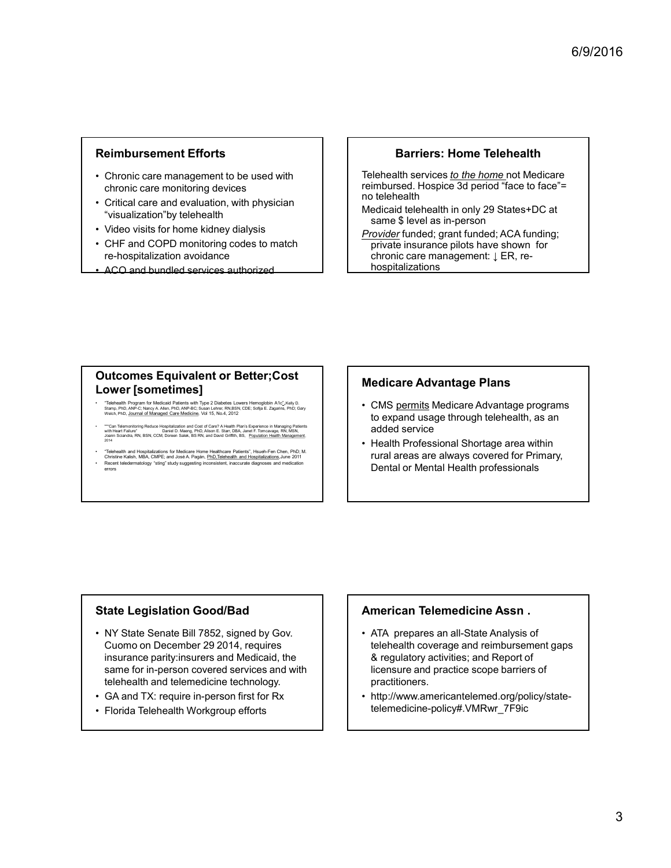#### Reimbursement Efforts

- chronic care monitoring devices
- **Reimbursement Efforts**<br>
 Chronic care management to be used with<br>
 chronic care monitoring devices<br>
 Critical care and evaluation, with physician<br>
 video visits for home kidney dialysis<br>
 CHE and COPD monitoring cod "visualization"by telehealth
- 
- **Reimbursement Efforts**<br>
 Chronic care management to be used with<br>
thronic care monitoring devices<br>
 Critical care and evaluation, with physician<br>
 Visualization"by telehealth<br>
 Video visits for home kidney dialysis<br>
 **Reimbursement Efforts**<br>
• Chronic care management to be used with<br>
• chronic care monitoring devices<br>
• Critical care and evaluation, with physician<br>
• Video visits for home kidney dialysis<br>
• CHF and COPD monitoring code **Reimbursement Efforts**<br>
• Chronic care management to be used with<br>
chronic care monitoring devices<br>
• Critical care monitoring devices<br>
• Visualization by telehealth<br>
• Visualization by telehealth<br>
• Visualization by tele re-hospitalization avoidance and the set of the chronic care management:  $\downarrow$  ER, re-
- ACO and bundled services authorized

#### Barriers: Home Telehealth

**Barriers: Home Telehealth<br>
Telehealth services to the home not Medicare<br>
Teimbursed. Hospice 3d period "face to face"=<br>
no telehealth<br>
Medicaid telehealth in only 29 States+DC at<br>
same \$ level as in-person<br>
Provider inne** reimbursed. Hospice 3d period "face to face"= no telehealth

same \$ level as in-person

**Barriers: Home Telehealth**<br> **Telehealth services to the home not** Medicare<br>
reimbursed. Hospice 3d period "face to face"=<br>
no telehealth<br>
Medicaid telehealth in only 29 States+DC at<br>
same \$ level as in-person<br>
provider f Provider funded; grant funded; ACA funding; private insurance pilots have shown for **Barriers: Home Telehealth**<br> **chronic control of the form of Medicare**<br> **chronic care management:** Also<br>
the denalth in only 29 States+DC at<br>
same \$ level as in-person<br>
private insurance pliots have shown for<br>
private ins hospitalizations **Reimbursement Efforts**<br>
Chronic care management to be used with<br>
chronic care monitoring devices<br>
chronic care monitoring devices to the best of the best of the best of the chronic care<br>
chronic care and evaluation with p **Reimbursement Efforts**<br>
Chronic care management to be used with<br>
<br>
"visualization" by telehealth services to the home<br>
"visualization" by telehealth is prices to the home<br>
"visualization avoidence"<br>
"Visualization avoiden Chronic care management to be used with<br>
christial care and evaluation, with physician<br>
Critical care and evaluation, with physician<br>
Critical care and evaluation, with physician<br>
Nideo visits for home kidney dialysis<br>
wit **Exercise Scanner Telehealth**<br> **Telehealth services to the home not Medicare**<br>
reimbursed, Hospice 3d period "face to face"=<br>
no telehealth<br>
Medicard telehealth in only 29 States+DC at<br>
same \$ level as in-person<br>
<u>Provider</u> Felehealth services to the home not Medicare<br>reimbursed. Hospice 3d period "face to face"=<br>no telehealth<br>medicaid telehealth in only 29 States+DC at<br>same \$ level as in-person<br>provider funded; grant funded; ACA funding;<br>pri

# Outcomes Equivalent or Better;Cost | | Medicare Advantage Plans<br>Lourer Feametimeel

- 
- 
- 

- to expand usage through telehealth, as an added service
- rural areas are always covered for Primary, Dental or Mental Health professionals

#### State Legislation Good/Bad

- Examples and Computer and Computer and Computer and Computer and Computer and Computer and Computer and Computer and Computer and Computer and Computer and Computer and Computer and Computer and Computer and Computer an Cuomo on December 29 2014, requires insurance parity:insurers and Medicaid, the same for in-person covered services and with telehealth and telemedicine technology.  $\frac{1}{2}$  (being the main and magnetized based on *Finding magnetics*) and the state of *Change Concerning magnetics* for *GA* and  $\frac{1}{2}$  (being the concerning magnetized based based based based based based based ba **From Branch Fighter and Frontiers (Except internal Telehealth Professional State Legislation Good/Bad**<br>
• Florida Telehealth Professional State Senate Bill 7852, signed by Gov.<br>
• Florida Telehealth Professional State Le
- 
- 

#### American Telemedicine Assn .

- Medicare Advantage Plans<br>
 CMS <u>permits</u> Medicare Advantage programs<br>
to expand usage through telehealth, as an<br>
added service<br>
 Health Professional Shortage area within<br>
rural areas are always covered for Primary,<br>
Dent telehealth coverage and reimbursement gaps & regulatory activities; and Report of licensure and practice scope barriers of practitioners. to expand usage through telehealth, as an<br>
added service<br>
• Health Professional Shortage area within<br>
rural areas are always covered for Primary,<br>
Dental or Mental Health professionals<br>
Dental or Mental Health professional
- telemedicine-policy#.VMRwr\_7F9ic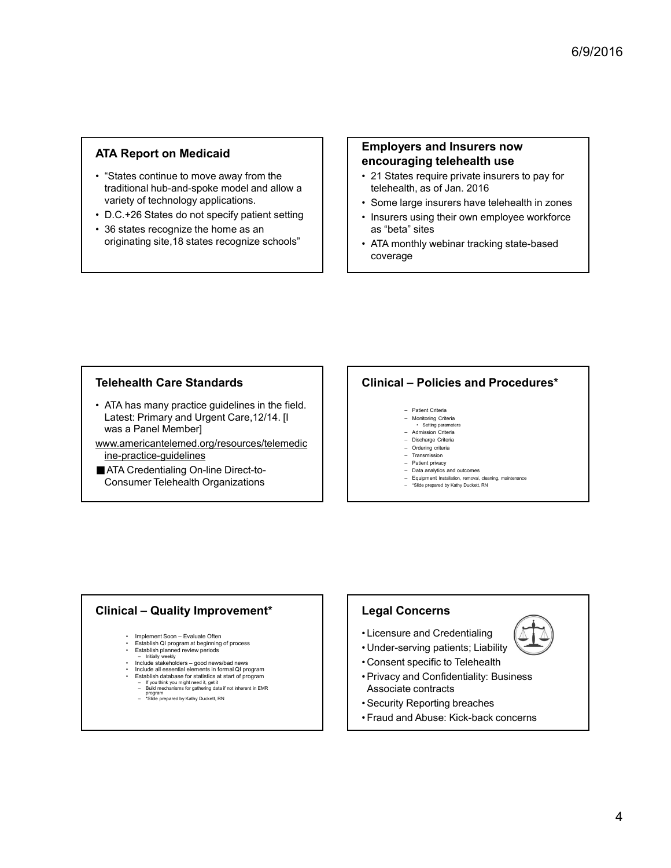## ATA Report on Medicaid

- **ATA Report on Medicaid**<br>
 "States continue to move away from the<br>
traditional hub-and-spoke model and allow a<br>
 D.C.+26 States do not specify patient setting<br>
 D.C.+26 States recognize the home as an<br>
 Some large insu traditional hub-and-spoke model and allow a variety of technology applications. ATA Report on Medicaid<br>
• "States continue to move away from the<br>
traditional hub-and-spoke model and allow a<br>
variety of technology applications.<br>
• D.C.+26 States do not specify patient setting<br>
• 36 states recognize **ATA Report on Medicaid**<br>
• "States continue to move away from the<br>
traditional hub-and-spoke model and allow a<br>
variety of technology applications.<br>
• D.C.+26 States recognize the home as an<br>
• 36 states recognize the hom
- 
- originating site,18 states recognize schools" | | | . ATA monthly webinar tracking state-based

#### Employers and Insurers now encouraging telehealth use

- telehealth, as of Jan. 2016
- 
- $6/9/2016$ <br> **Employers and Insurers now**<br> **encouraging telehealth use**<br>  $\cdot$  21 States require private insurers to pay for<br>  $\cdot$  Some large insurers have telehealth in zones<br>  $\cdot$  Some large insurers using their own emplo 6/9/2016<br> **Employers and Insurers now**<br> **encouraging telehealth use**<br>
• 21 States require private insurers to pay for<br>
telehealth, as of Jan. 2016<br>
• Some large insurers have telehealth in zones<br>
• Insurers using their own 6/9/2016<br>• Insurers now<br>• **Employers and Insurers now**<br>• 21 States require private insurers to pay for<br>• telehealth, as of Jan. 2016<br>• Some large insurers have telehealth in zones<br>• Insurers using their own employee workfo as "beta" sites 6/9/2016<br> **Employers and Insurers now**<br> **encouraging telehealth use**<br>
• 21 States require private insurers to pay for<br>
telehealth, as of Jan. 2016<br>
• Some large insurers have telehealth in zones<br>
• Insurers using their own Employers and Insurers now<br>
encouraging telehealth use<br>
21 States require private insurers to pay for<br>
telehealth, as of Jan. 2016<br>
Come large insurers have telehealth in zones<br>
<sup>1</sup> Insurers using their own employee workfo Figure 2012<br>
Setting the Criteria insurers to pay for<br>
the set require private insurers to pay for<br>
the susception control of the setting state-based<br>
susceptibles –<br>
The state of the setting state-based<br>
Setting parameter **aging telehealth use**<br>
es require private insurers to pay for<br>
tlth, as of Jan. 2016<br>
using their own employee workforce<br>
suising their own employee workforce<br>
"sites<br>
"sites<br>
mthly webinar tracking state-based<br>
ge<br>
- Pel **Solution Chinage (Separation Chinage School Chinage Chinage Chinage Chinage (Separation Chinage School Chinage School Chinage Chinage (Separation Chinage School Chinage Chinage Chinage Chinage Chinage Chinage Chinage Chin** – Simon – Patient Cherna<br>
– Transmission – Data analytics and privacy – Data analytics and privacy – Data analytics and privacy – Patient Cherna<br>
– **Policies and Procedures\***<br>
– Policies and Procedures\*<br>
– Patient Cherna<br>
- coverage

- **ATA Report on Medicaid**<br>
 "States continue to move away from the<br>
traditional hub-and-spoke model and allow a<br>
 D.C.+26 States do not specify patient setting<br>
 36 states recognize the home as an<br>
originating site,18 s Latest: Primary and Urgent Care,12/14. [I was a Panel Member] variable prothology applications:<br>
The C-26 States do not specify patient setting<br>
35 states recognize strongly and Universe and the Clinical – Policies and Proceedures<br>
originating states in the present of the Clinical – **Examplement Soon – Evaluation – Evaluation – Evaluation – Evaluation – Evaluation – Evaluation – Evaluation – Evaluation – Evaluation – Evaluation – Evaluation – Evaluation – Evaluation – Evaluation – Evaluation – Evaluat • Excellent Discreen Standards**<br>
• Excellent Discreen Standards<br>
• Excellent Discreen Medicines<br>
• Excellent Discreen Standards<br>
• Excellent Discreen Standards<br>
• Excellent Discreen Standards<br>
• Constant Company Consi **example and Propertion Standards**<br>
Start Primary and Urgent Care, 12/14. [1<br>
Start China Panel Member]<br>
<br> **Example and Propertion Conservation Conservation Conservation Conservation Conservation Conservation Conserva** ealth Care Standards<br>
Star Primary and Urgent Care, 12/14. [I<br>
Referred states – and Department of the Biggard Care, 12/14. [I<br>
mericiant<br>
Credentialing On-line Direct-to-<br>
Credentialing On-line Direct-to-<br>
Credentialing O **example procedure guidelines in the field.**<br>
Include a many practice guidelines in the field.<br>
a Panel Member)<br>
credentialing On-line Direct-to-<br>
colors and the state of the state of the colors of the color of the state Friemary and Urgent Care, 12/14. [I<br>
Readic Moment Care (12/14. [I<br>
Chrodination of the first data based on the first data based on the Direct-to-<br>
Chrodination of the Direct-to-<br>
Chrodination of the Direct-to-<br>
Chrodina Friendry and Urgent Care, 12/14. [I<br>
Primary and Urgent Care, 12/14. [I<br>
alternation of the distribution in the distribution of the distribution<br>
Technology (The Direct-to-<br>
The Direct-to-<br>
The Direct-to-<br>
The distribution Primary and Urgent Care, 12/14. [I<br>
The main of the summarized contributed contributed contributed contributed contributed contributed contributed contributed contributed contributed contributed contributed contributed co
- www.americantelemed.org/resources/telemedic<br>
ine-practice-quidelines<br>
Transmission<br>
Transmission ine-practice-guidelines
- ATA Credentialing On-line Direct-to-Consumer Telehealth Organizations

## Telehealth Care Standards **Telegan Controllet Care Standards Telegan Controllet Care Standards Telegan Controller**

- 
- 
- 
- 
- 
- 
- 
- 

- 
- 
- 
- 
- 
- -
	-

## Legal Concerns

- 
- 
- 
- **Clinical Policies and Procedures\***<br>
 Present Comes<br>
 Admission Cases<br>
 Contago Cases<br>
 Description<br>
 Contago Cases<br>
 Conservation Cases<br>
 Free present by Lary Dialat, Pitch<br>
 Trans present by Lary Dialat, Pitch<br> Figure Cristing Cristian<br>
Figure Cristing Cristing<br>
Figure Cristing Cristing<br>
A Summer Cristing Cristing<br>
The Cristing Cristing<br>
The Cristing Cristing<br>
The Cristian Cristian<br>
The Cristian Cristian<br>
Disk and of the Cristian Clinical – Policies and Procedures\*<br>
• Experiment States<br>
• Admission Consent<br>
• Conservation Consent<br>
• Conservation<br>
• Conservation<br>
• Conservation<br>
• Conservation<br>
• Conservation<br>
• Conservation<br>
• Conservation<br>
• This • Private Critics<br>• Members Critics<br>• Ordering Critics<br>• Critics (Private Critics<br>• Critics of Confidentiality<br>• Private private and obtained<br>• Private private and confidential<br>• Business • Supplementary Critics (Private P Associate contracts • Montanty Chelia<br>
• Security Develop Develop Chelia<br>
• Checking Chelia<br>
• Transmission<br>
• Transmission Reporting Breaches and Order Reporting Breaches and Chelia<br>
• Edge and Chelia<br>
• Consent specific to Telehealth<br>
• Cho • Amission Charis<br>
• Discrept Chies<br>
• Fraud and Abuse:<br>
• Fraud and Abuse:<br>
• Back physion beats and actiones<br>
• Factor physion beats concerns<br>
• Fraud property *Katy Dubatt*, Ry<br>
• Under-serving pattents; Liability<br>
• U
- 
-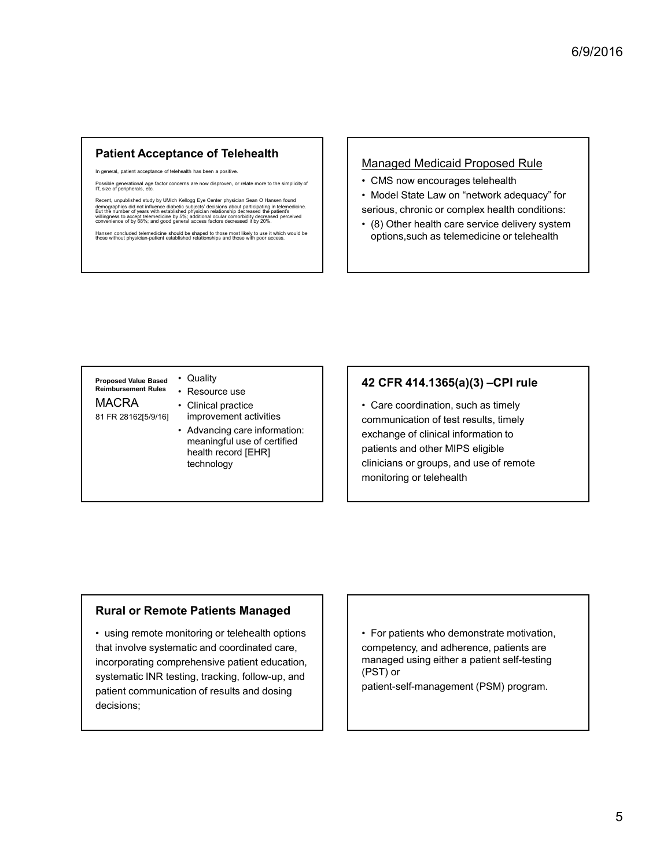## Patient Acceptance of Telehealth Managed Medicaid Proposed Rule

In general, patient acceptance of telehealth has been a positive

Possible generational age factor concerns are now disproven, or relate more to the simplicity of **CMS** now encourages telehealth

**Patient Acceptance of Telehealth**<br>
In general, patient acceptance is the best in base is positive.<br> **Managed Medicaid Proposed Ruli**<br>
CMS now encourages telehealth<br> **Examples and the study by UMICH Sear O Hansen found<br>
Se** demographics did not influence diabetic subjects' decisions about participating in telemedicine. But the number of years with established physician relationship decreased the patient's willingness to accept telemedicine by 5%; additional ocular comorbidity decreased perceived convenience of by 68%; and good general access factors decreased it by 20%. The general, patient acceptance of telehealth has been a positive.<br>
The size of peripherals, etc.<br>
The size of peripherals, etc.<br>
Has en operations and the stablished substrate discussing a second and the simplicity of<br>
Su

- 
- 6/9/2016<br>
Managed Medicaid Proposed Rule<br>
 CMS now encourages telehealth<br>
 Model State Law on "network adequacy" for<br>
 (8) Other health care service delivery system<br>
options, such as telemedicine or telehealth 6/9/2016<br>
Managed Medicaid Proposed Rule<br>
• CMS now encourages telehealth<br>
• Model State Law on "network adequacy" for<br>
serious, chronic or complex health conditions:<br>
• (8) Other health care service delivery system<br>
optio serious, chronic or complex health conditions: 6/9/2016<br>• CMS now encourages telehealth<br>• Model State Law on "network adequacy" for<br>• ervicus, chronic or complex health conditions:<br>• (8) Other health care service delivery system<br>options, such as telemedicine or telehea 6/9/2016<br>
anaged Medicaid Proposed Rule<br>
CMS now encourages telehealth<br>
Model State Law on "network adequacy" for<br>
(8) Other health care service delivery system<br>
options, such as telemedicine or telehealth<br>
Model State Law
- Hansen concluded telemedicine should be shaped to those most likely to use it which would be<br>those without physician-patient established relationships and those with poor access.<br>
Options, such as telemedicine or telehealt

Proposed Value Based . Quality Reimbursement Rules • Resource use

- 
- 
- meaningful use of certified health record [EHR] technology

## 42 CFR 414.1365(a)(3) –CPI rule

• Quality **Example the Solution of the CAS (a)** CDP and the CAS (a) CDP and the CAS (a) CDP and the CAS (a) CDP and the CHAS (a) CDP and the CHAS (a) CDP and the CHAS (a) CDP and the CHAS (a) CDP and the CHAS (a) CDP and the CHAS ( **Example the second server and the second server and the server and the server and the server and the server and the server and the server and the server and the server and the server and the server and the server and the** 81 FR 28162[5/9/16] improvement activities **the communication of test Example of Telehealth**<br>
Namaged Medicaid Proposed Rule<br>
Namaged Medicaid Proposed Rule<br>
<br> **•** Advance in the state in the state in the state in the state in the state in the state in the state of the state in the state o MACRA • Clinical practice  $\vert \cdot \vert$  • Care coordination, such as timely Managed Medicaid Proposed Rule<br>
• CMS now encourages telehealth<br>
• Model State Law on "network adequacy" for<br>
• (8) Other health care service delivery system<br>
options, such as telemedicine or telehealth<br>
• Other health car communication of test results, timely exchange of clinical information to patients and other MIPS eligible clinicians or groups, and use of remote monitoring or telehealth 42 CFR 414.1365(a)(3) –CPI rule<br>
• Care coordination, such as timely<br>
communication of test results, timely<br>
patients and other MIPS eligible<br>
patients and other MIPS eligible<br>
clinicians or groups, and use of remote<br>
moni

## Rural or Remote Patients Managed

Proposed Value Based • Quality<br>
MACRA • Clinical practice<br>
MACRA • Clinical practice<br>
• Advancing care information:<br>
• meaningful use of certified<br>
• meaningful use of certified<br>
• meaningful use of certified<br>
• meaning that involve systematic and coordinated care, incorporating comprehensive patient education, systematic INR testing, tracking, follow-up, and patient communication of results and dosing decisions;

competency, and adherence, patients are managed using either a patient self-testing (PST) or

patient-self-management (PSM) program.